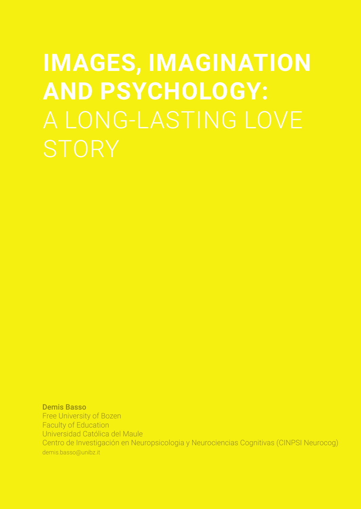# **IMAGES, IMAGINATION AND PSYCHOLOGY:**

Demis Basso Free University of Bozen Faculty of Education Universidad Católica del Maule Centro de Investigación en Neuropsicologia y Neurociencias Cognitivas (CINPSI Neurocog) demis.basso@unibz.it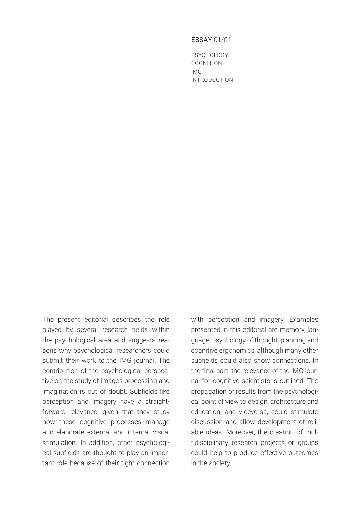# ESSAY 01/01

PSYCHOLOGY COGNITION IMG INTRODUCTION

The present editorial describes the role played by several research fields within the psychological area and suggests reasons why psychological researchers could submit their work to the IMG journal. The contribution of the psychological perspective on the study of images processing and imagination is out of doubt. Subfields like perception and imagery have a straightforward relevance, given that they study how these cognitive processes manage and elaborate external and internal visual stimulation. In addition, other psychological subfields are thought to play an important role because of their tight connection

with perception and imagery. Examples presented in this editorial are memory, language, psychology of thought, planning and cognitive ergonomics, although many other subfields could also show connections. In the final part, the relevance of the IMG journal for cognitive scientists is outlined. The propagation of results from the psychological point of view to design, architecture and education, and viceversa, could stimulate discussion and allow development of reliable ideas. Moreover, the creation of multidisciplinary research projects or groups could help to produce effective outcomes in the society.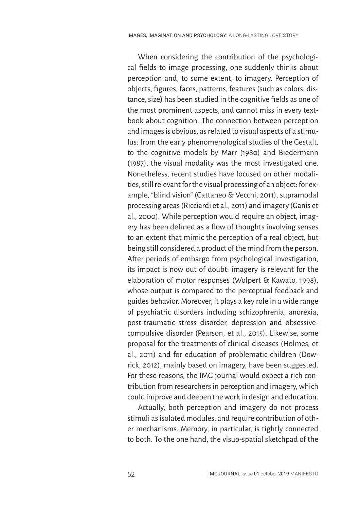When considering the contribution of the psychological fields to image processing, one suddenly thinks about perception and, to some extent, to imagery. Perception of objects, figures, faces, patterns, features (such as colors, distance, size) has been studied in the cognitive fields as one of the most prominent aspects, and cannot miss in every textbook about cognition. The connection between perception and images is obvious, as related to visual aspects of a stimulus: from the early phenomenological studies of the Gestalt, to the cognitive models by Marr (1980) and Biedermann (1987), the visual modality was the most investigated one. Nonetheless, recent studies have focused on other modalities, still relevant for the visual processing of an object: for example, "blind vision" (Cattaneo & Vecchi, 2011), supramodal processing areas (Ricciardi et al., 2011) and imagery (Ganis et al., 2000). While perception would require an object, imagery has been defined as a flow of thoughts involving senses to an extent that mimic the perception of a real object, but being still considered a product of the mind from the person. After periods of embargo from psychological investigation, its impact is now out of doubt: imagery is relevant for the elaboration of motor responses (Wolpert & Kawato, 1998), whose output is compared to the perceptual feedback and guides behavior. Moreover, it plays a key role in a wide range of psychiatric disorders including schizophrenia, anorexia, post-traumatic stress disorder, depression and obsessivecompulsive disorder (Pearson, et al., 2015). Likewise, some proposal for the treatments of clinical diseases (Holmes, et al., 2011) and for education of problematic children (Dowrick, 2012), mainly based on imagery, have been suggested. For these reasons, the IMG journal would expect a rich contribution from researchers in perception and imagery, which could improve and deepen the work in design and education.

Actually, both perception and imagery do not process stimuli as isolated modules, and require contribution of other mechanisms. Memory, in particular, is tightly connected to both. To the one hand, the visuo-spatial sketchpad of the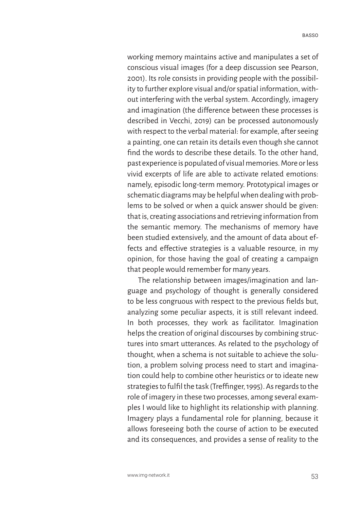working memory maintains active and manipulates a set of conscious visual images (for a deep discussion see Pearson, 2001). Its role consists in providing people with the possibility to further explore visual and/or spatial information, without interfering with the verbal system. Accordingly, imagery and imagination (the difference between these processes is described in Vecchi, 2019) can be processed autonomously with respect to the verbal material: for example, after seeing a painting, one can retain its details even though she cannot find the words to describe these details. To the other hand, past experience is populated of visual memories. More or less vivid excerpts of life are able to activate related emotions: namely, episodic long-term memory. Prototypical images or schematic diagrams may be helpful when dealing with problems to be solved or when a quick answer should be given: that is, creating associations and retrieving information from the semantic memory. The mechanisms of memory have been studied extensively, and the amount of data about effects and effective strategies is a valuable resource, in my opinion, for those having the goal of creating a campaign that people would remember for many years.

The relationship between images/imagination and language and psychology of thought is generally considered to be less congruous with respect to the previous fields but, analyzing some peculiar aspects, it is still relevant indeed. In both processes, they work as facilitator. Imagination helps the creation of original discourses by combining structures into smart utterances. As related to the psychology of thought, when a schema is not suitable to achieve the solution, a problem solving process need to start and imagination could help to combine other heuristics or to ideate new strategies to fulfil the task (Treffinger, 1995). As regards to the role of imagery in these two processes, among several examples I would like to highlight its relationship with planning. Imagery plays a fundamental role for planning, because it allows foreseeing both the course of action to be executed and its consequences, and provides a sense of reality to the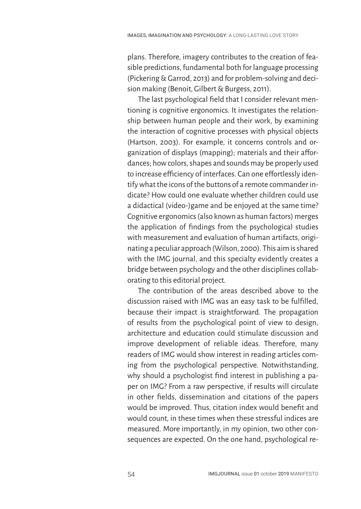plans. Therefore, imagery contributes to the creation of feasible predictions, fundamental both for language processing (Pickering & Garrod, 2013) and for problem-solving and decision making (Benoit, Gilbert & Burgess, 2011).

The last psychological field that I consider relevant mentioning is cognitive ergonomics. It investigates the relationship between human people and their work, by examining the interaction of cognitive processes with physical objects (Hartson, 2003). For example, it concerns controls and organization of displays (mapping); materials and their affordances; how colors, shapes and sounds may be properly used to increase efficiency of interfaces. Can one effortlessly identify what the icons of the buttons of a remote commander indicate? How could one evaluate whether children could use a didactical (video-)game and be enjoyed at the same time? Cognitive ergonomics (also known as human factors) merges the application of findings from the psychological studies with measurement and evaluation of human artifacts, originating a peculiar approach (Wilson, 2000). This aim is shared with the IMG journal, and this specialty evidently creates a bridge between psychology and the other disciplines collaborating to this editorial project.

The contribution of the areas described above to the discussion raised with IMG was an easy task to be fulfilled, because their impact is straightforward. The propagation of results from the psychological point of view to design, architecture and education could stimulate discussion and improve development of reliable ideas. Therefore, many readers of IMG would show interest in reading articles coming from the psychological perspective. Notwithstanding, why should a psychologist find interest in publishing a paper on IMG? From a raw perspective, if results will circulate in other fields, dissemination and citations of the papers would be improved. Thus, citation index would benefit and would count, in these times when these stressful indices are measured. More importantly, in my opinion, two other consequences are expected. On the one hand, psychological re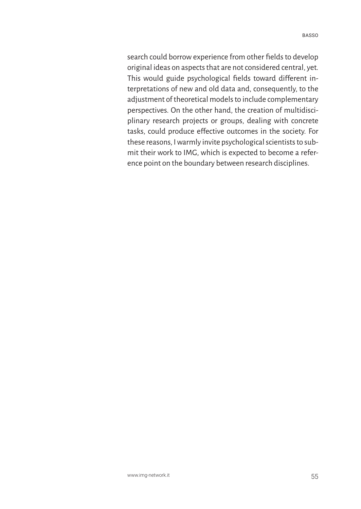search could borrow experience from other fields to develop original ideas on aspects that are not considered central, yet. This would guide psychological fields toward different interpretations of new and old data and, consequently, to the adjustment of theoretical models to include complementary perspectives. On the other hand, the creation of multidisciplinary research projects or groups, dealing with concrete tasks, could produce effective outcomes in the society. For these reasons, I warmly invite psychological scientists to submit their work to IMG, which is expected to become a reference point on the boundary between research disciplines.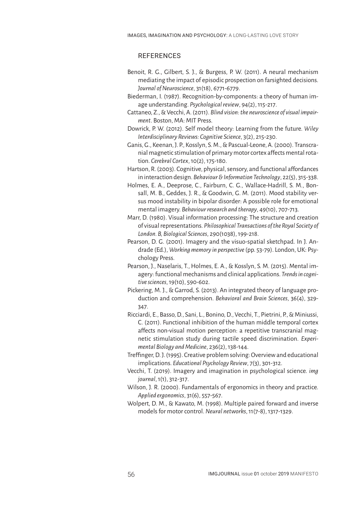# **REFERENCES**

- Benoit, R. G., Gilbert, S. J., & Burgess, P. W. (2011). A neural mechanism mediating the impact of episodic prospection on farsighted decisions. *Journal of Neuroscience*, 31(18), 6771-6779.
- Biederman, I. (1987). Recognition-by-components: a theory of human image understanding. *Psychological review*, 94(2), 115-217.
- Cattaneo, Z., & Vecchi, A. (2011). *Blind vision: the neuroscience of visual impairment*. Boston, MA: MIT Press.
- Dowrick, P. W. (2012). Self model theory: Learning from the future. *Wiley Interdisciplinary Reviews: Cognitive Science*, 3(2), 215-230.
- Ganis, G., Keenan, J. P., Kosslyn, S. M., & Pascual-Leone, A. (2000). Transcranial magnetic stimulation of primary motor cortex affects mental rotation. *Cerebral Cortex*, 10(2), 175-180.
- Hartson, R. (2003). Cognitive, physical, sensory, and functional affordances in interaction design. *Behaviour & Information Technology*, 22(5), 315-338.
- Holmes, E. A., Deeprose, C., Fairburn, C. G., Wallace-Hadrill, S. M., Bonsall, M. B., Geddes, J. R., & Goodwin, G. M. (2011). Mood stability versus mood instability in bipolar disorder: A possible role for emotional mental imagery. *Behaviour research and therapy*, 49(10), 707-713.
- Marr, D. (1980). Visual information processing: The structure and creation of visual representations. *Philosophical Transactions of the Royal Society of London. B, Biological Sciences*, 290(1038), 199-218.
- Pearson, D. G. (2001). Imagery and the visuo-spatial sketchpad. In J. Andrade (Ed.), *Working memory in perspective* (pp. 53-79). London, UK: Psychology Press.
- Pearson, J., Naselaris, T., Holmes, E. A., & Kosslyn, S. M. (2015). Mental imagery: functional mechanisms and clinical applications. *Trends in cognitive sciences*, 19(10), 590-602.
- Pickering, M. J., & Garrod, S. (2013). An integrated theory of language production and comprehension. *Behavioral and Brain Sciences*, 36(4), 329- 347.
- Ricciardi, E., Basso, D., Sani, L., Bonino, D., Vecchi, T., Pietrini, P., & Miniussi, C. (2011). Functional inhibition of the human middle temporal cortex affects non-visual motion perception: a repetitive transcranial magnetic stimulation study during tactile speed discrimination. *Experimental Biology and Medicine*, 236(2), 138-144.
- Treffinger, D. J. (1995). Creative problem solving: Overview and educational implications. *Educational Psychology Review*, 7(3), 301-312.
- Vecchi, T. (2019). Imagery and imagination in psychological science. *img journal*,1(1), 312-317.
- Wilson, J. R. (2000). Fundamentals of ergonomics in theory and practice. *Applied ergonomics*, 31(6), 557-567.
- Wolpert, D. M., & Kawato, M. (1998). Multiple paired forward and inverse models for motor control. *Neural networks*, 11(7-8), 1317-1329.